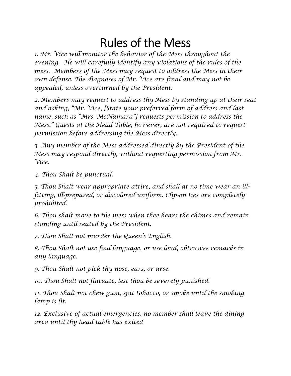## Rules of the Mess

*1. Mr. Vice will monitor the behavior of the Mess throughout the evening. He will carefully identify any violations of the rules of the mess. Members of the Mess may request to address the Mess in their own defense. The diagnoses of Mr. Vice are final and may not be appealed, unless overturned by the President.* 

*2. Members may request to address thy Mess by standing up at their seat and asking, "Mr. Vice, [State your preferred form of address and last name, such as "Mrs. McNamara"] requests permission to address the Mess." Guests at the Head Table, however, are not required to request permission before addressing the Mess directly.* 

*3. Any member of the Mess addressed directly by the President of the Mess may respond directly, without requesting permission from Mr. Vice.* 

*4. Thou Shalt be punctual.* 

*5. Thou Shalt wear appropriate attire, and shall at no time wear an illfitting, ill-prepared, or discolored uniform. Clip-on ties are completely prohibited.* 

*6. Thou shalt move to the mess when thee hears the chimes and remain standing until seated by the President.* 

*7. Thou Shalt not murder the Queen's English.* 

*8. Thou Shalt not use foul language, or use loud, obtrusive remarks in any language.* 

*9. Thou Shalt not pick thy nose, ears, or arse.* 

*10. Thou Shalt not flatuate, lest thou be severely punished.* 

*11. Thou Shalt not chew gum, spit tobacco, or smoke until the smoking lamp is lit.* 

*12. Exclusive of actual emergencies, no member shall leave the dining area until thy head table has exited*